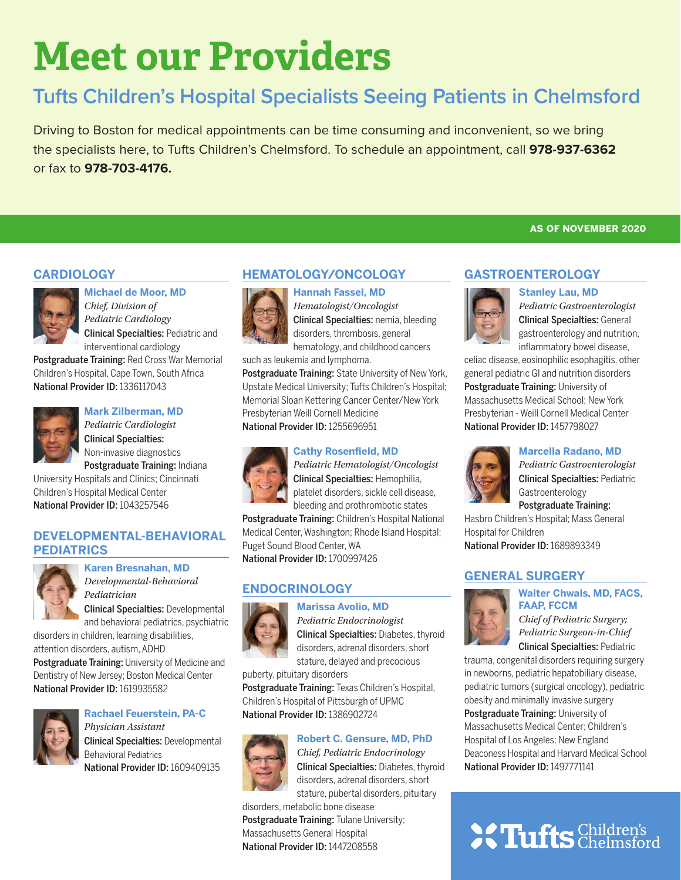# **Meet our Providers**

## **Tufts Children's Hospital Specialists Seeing Patients in Chelmsford**

Driving to Boston for medical appointments can be time consuming and inconvenient, so we bring the specialists here, to Tufts Children's Chelmsford. To schedule an appointment, call **978-937-6362**  or fax to **978-703-4176.**

### **CARDIOLOGY**



**Michael de Moor, MD**  *Chief, Division of Pediatric Cardiology*  Clinical Specialties: Pediatric and

interventional cardiology Postgraduate Training: Red Cross War Memorial Children's Hospital, Cape Town, South Africa National Provider ID: 1336117043



### **Mark Zilberman, MD**

*Pediatric Cardiologist* Clinical Specialties: Non-invasive diagnostics Postgraduate Training: Indiana

University Hospitals and Clinics; Cincinnati Children's Hospital Medical Center National Provider ID: 1043257546

### **DEVELOPMENTAL-BEHAVIORAL PEDIATRICS**



**Karen Bresnahan, MD** *Developmental-Behavioral Pediatrician*

Clinical Specialties: Developmental and behavioral pediatrics, psychiatric

disorders in children, learning disabilities, attention disorders, autism, ADHD Postgraduate Training: University of Medicine and Dentistry of New Jersey; Boston Medical Center National Provider ID: 1619935582



### **Rachael Feuerstein, PA-C** *Physician Assistant*

Clinical Specialties: Developmental Behavioral Pediatrics National Provider ID: 1609409135





*Hematologist/Oncologist* Clinical Specialties: nemia, bleeding disorders, thrombosis, general hematology, and childhood cancers

such as leukemia and lymphoma.

Postgraduate Training: State University of New York, Upstate Medical University; Tufts Children's Hospital; Memorial Sloan Kettering Cancer Center/New York Presbyterian Weill Cornell Medicine National Provider ID: 1255696951

### **Cathy Rosenfield, MD**



*Pediatric Hematologist/Oncologist* Clinical Specialties: Hemophilia, platelet disorders, sickle cell disease, bleeding and prothrombotic states

Postgraduate Training: Children's Hospital National Medical Center, Washington; Rhode Island Hospital; Puget Sound Blood Center, WA National Provider ID: 1700997426

### **ENDOCRINOLOGY**

#### **Marissa Avolio, MD**



*Pediatric Endocrinologist*

Clinical Specialties: Diabetes, thyroid disorders, adrenal disorders, short stature, delayed and precocious

puberty, pituitary disorders

Postgraduate Training: Texas Children's Hospital, Children's Hospital of Pittsburgh of UPMC National Provider ID: 1386902724

### **Robert C. Gensure, MD, PhD**



*Chief, Pediatric Endocrinology* Clinical Specialties: Diabetes, thyroid disorders, adrenal disorders, short stature, pubertal disorders, pituitary

disorders, metabolic bone disease Postgraduate Training: Tulane University; Massachusetts General Hospital National Provider ID: 1447208558



*Pediatric Gastroenterologist* Clinical Specialties: General gastroenterology and nutrition, inflammatory bowel disease,

**as of november 2020**

celiac disease, eosinophilic esophagitis, other general pediatric GI and nutrition disorders Postgraduate Training: University of Massachusetts Medical School; New York Presbyterian - Weill Cornell Medical Center National Provider ID: 1457798027



**Marcella Radano, MD**

*Pediatric Gastroenterologist* Clinical Specialties: Pediatric Gastroenterology Postgraduate Training:

Hasbro Children's Hospital; Mass General Hospital for Children National Provider ID: 1689893349

### **GENERAL SURGERY Walter Chwals, MD, FACS,**



**FAAP, FCCM** *Chief of Pediatric Surgery;* 

*Pediatric Surgeon-in-Chief* Clinical Specialties: Pediatric

trauma, congenital disorders requiring surgery in newborns, pediatric hepatobiliary disease, pediatric tumors (surgical oncology), pediatric obesity and minimally invasive surgery Postgraduate Training: University of Massachusetts Medical Center; Children's Hospital of Los Angeles; New England Deaconess Hospital and Harvard Medical School National Provider ID: 1497771141

## **SC Tufts** Children's

## **GASTROENTEROLOGY**

**Stanley Lau, MD**